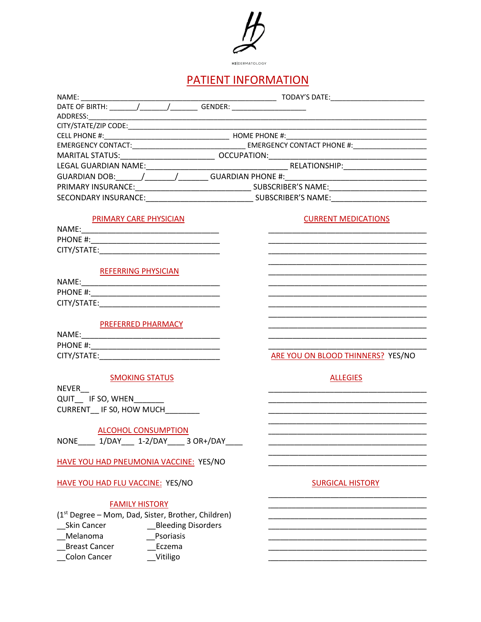

# PATIENT INFORMATION

| PRIMARY CARE PHYSICIAN                             | <b>CURRENT MEDICATIONS</b>                                                                                            |
|----------------------------------------------------|-----------------------------------------------------------------------------------------------------------------------|
|                                                    |                                                                                                                       |
|                                                    |                                                                                                                       |
|                                                    |                                                                                                                       |
|                                                    |                                                                                                                       |
| <b>REFERRING PHYSICIAN</b>                         |                                                                                                                       |
|                                                    | <u> 1989 - Johann John Stone, markin film yn y system yn y system yn y system yn y system yn y system yn y system</u> |
|                                                    |                                                                                                                       |
|                                                    | the control of the control of the control of the control of the control of the control of                             |
|                                                    |                                                                                                                       |
|                                                    |                                                                                                                       |
| <b>PREFERRED PHARMACY</b>                          |                                                                                                                       |
|                                                    |                                                                                                                       |
|                                                    |                                                                                                                       |
|                                                    | ARE YOU ON BLOOD THINNERS? YES/NO                                                                                     |
|                                                    |                                                                                                                       |
| <b>SMOKING STATUS</b>                              | <b>ALLEGIES</b>                                                                                                       |
| <b>NEVER</b>                                       |                                                                                                                       |
| QUIT IF SO, WHEN                                   |                                                                                                                       |
| CURRENT IF SO, HOW MUCH                            |                                                                                                                       |
|                                                    |                                                                                                                       |
| <b>ALCOHOL CONSUMPTION</b>                         |                                                                                                                       |
| ___ 1/DAY____ 1-2/DAY_____ 3 OR+/DAY_<br>NONE      |                                                                                                                       |
|                                                    |                                                                                                                       |
| HAVE YOU HAD PNEUMONIA VACCINE: YES/NO             |                                                                                                                       |
|                                                    |                                                                                                                       |
| <b>HAVE YOU HAD FLU VACCINE: YES/NO</b>            | <b>SURGICAL HISTORY</b>                                                                                               |
|                                                    |                                                                                                                       |
| <b>FAMILY HISTORY</b>                              |                                                                                                                       |
| (1st Degree - Mom, Dad, Sister, Brother, Children) |                                                                                                                       |
| <b>Skin Cancer</b><br>__Bleeding Disorders         |                                                                                                                       |
| Melanoma<br>Psoriasis                              |                                                                                                                       |
|                                                    |                                                                                                                       |
| <b>Breast Cancer</b><br>Eczema                     |                                                                                                                       |
| Colon Cancer<br>__Vitiligo                         |                                                                                                                       |
|                                                    |                                                                                                                       |